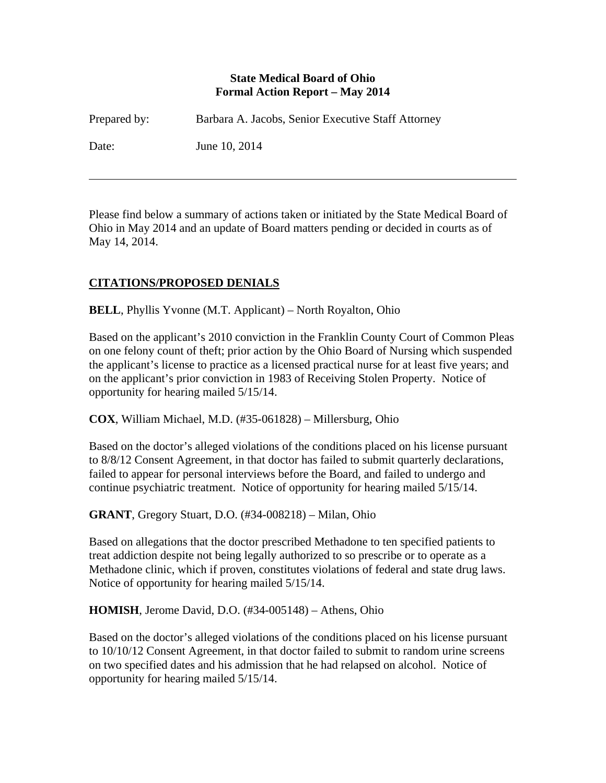#### **State Medical Board of Ohio Formal Action Report – May 2014**

| Prepared by: | Barbara A. Jacobs, Senior Executive Staff Attorney |
|--------------|----------------------------------------------------|
| Date:        | June 10, 2014                                      |

Please find below a summary of actions taken or initiated by the State Medical Board of Ohio in May 2014 and an update of Board matters pending or decided in courts as of May 14, 2014.

# **CITATIONS/PROPOSED DENIALS**

 $\overline{a}$ 

**BELL**, Phyllis Yvonne (M.T. Applicant) – North Royalton, Ohio

Based on the applicant's 2010 conviction in the Franklin County Court of Common Pleas on one felony count of theft; prior action by the Ohio Board of Nursing which suspended the applicant's license to practice as a licensed practical nurse for at least five years; and on the applicant's prior conviction in 1983 of Receiving Stolen Property. Notice of opportunity for hearing mailed 5/15/14.

**COX**, William Michael, M.D. (#35-061828) – Millersburg, Ohio

Based on the doctor's alleged violations of the conditions placed on his license pursuant to 8/8/12 Consent Agreement, in that doctor has failed to submit quarterly declarations, failed to appear for personal interviews before the Board, and failed to undergo and continue psychiatric treatment. Notice of opportunity for hearing mailed 5/15/14.

**GRANT**, Gregory Stuart, D.O. (#34-008218) – Milan, Ohio

Based on allegations that the doctor prescribed Methadone to ten specified patients to treat addiction despite not being legally authorized to so prescribe or to operate as a Methadone clinic, which if proven, constitutes violations of federal and state drug laws. Notice of opportunity for hearing mailed 5/15/14.

**HOMISH**, Jerome David, D.O. (#34-005148) – Athens, Ohio

Based on the doctor's alleged violations of the conditions placed on his license pursuant to 10/10/12 Consent Agreement, in that doctor failed to submit to random urine screens on two specified dates and his admission that he had relapsed on alcohol. Notice of opportunity for hearing mailed 5/15/14.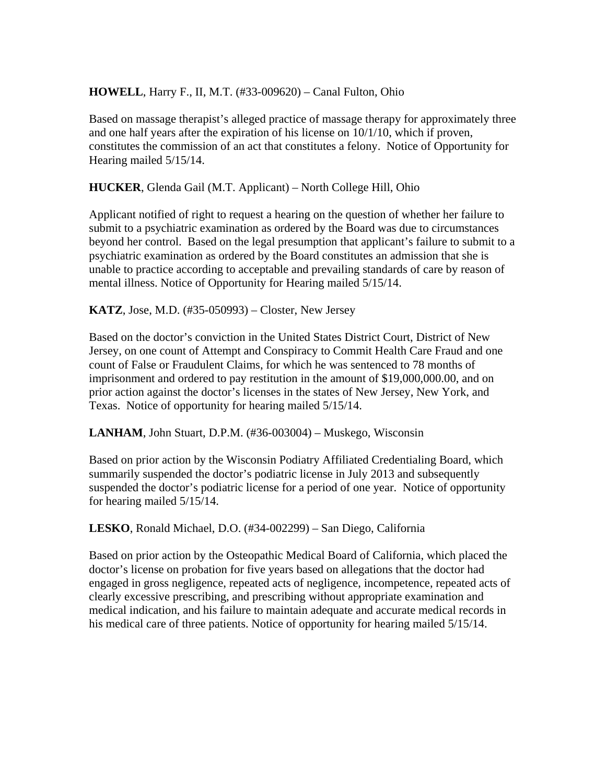### **HOWELL**, Harry F., II, M.T. (#33-009620) – Canal Fulton, Ohio

Based on massage therapist's alleged practice of massage therapy for approximately three and one half years after the expiration of his license on 10/1/10, which if proven, constitutes the commission of an act that constitutes a felony. Notice of Opportunity for Hearing mailed 5/15/14.

**HUCKER**, Glenda Gail (M.T. Applicant) – North College Hill, Ohio

Applicant notified of right to request a hearing on the question of whether her failure to submit to a psychiatric examination as ordered by the Board was due to circumstances beyond her control. Based on the legal presumption that applicant's failure to submit to a psychiatric examination as ordered by the Board constitutes an admission that she is unable to practice according to acceptable and prevailing standards of care by reason of mental illness. Notice of Opportunity for Hearing mailed 5/15/14.

**KATZ**, Jose, M.D. (#35-050993) – Closter, New Jersey

Based on the doctor's conviction in the United States District Court, District of New Jersey, on one count of Attempt and Conspiracy to Commit Health Care Fraud and one count of False or Fraudulent Claims, for which he was sentenced to 78 months of imprisonment and ordered to pay restitution in the amount of \$19,000,000.00, and on prior action against the doctor's licenses in the states of New Jersey, New York, and Texas. Notice of opportunity for hearing mailed 5/15/14.

**LANHAM**, John Stuart, D.P.M. (#36-003004) – Muskego, Wisconsin

Based on prior action by the Wisconsin Podiatry Affiliated Credentialing Board, which summarily suspended the doctor's podiatric license in July 2013 and subsequently suspended the doctor's podiatric license for a period of one year. Notice of opportunity for hearing mailed 5/15/14.

**LESKO**, Ronald Michael, D.O. (#34-002299) – San Diego, California

Based on prior action by the Osteopathic Medical Board of California, which placed the doctor's license on probation for five years based on allegations that the doctor had engaged in gross negligence, repeated acts of negligence, incompetence, repeated acts of clearly excessive prescribing, and prescribing without appropriate examination and medical indication, and his failure to maintain adequate and accurate medical records in his medical care of three patients. Notice of opportunity for hearing mailed 5/15/14.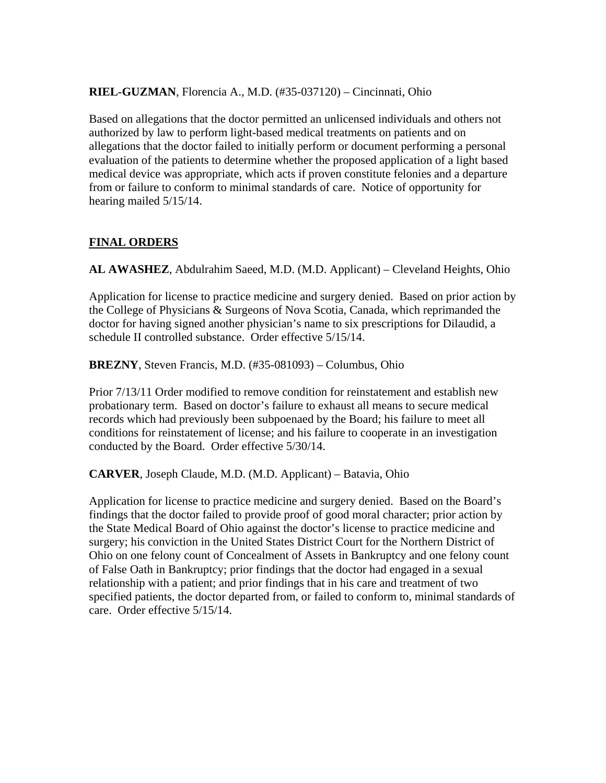#### **RIEL-GUZMAN**, Florencia A., M.D. (#35-037120) – Cincinnati, Ohio

Based on allegations that the doctor permitted an unlicensed individuals and others not authorized by law to perform light-based medical treatments on patients and on allegations that the doctor failed to initially perform or document performing a personal evaluation of the patients to determine whether the proposed application of a light based medical device was appropriate, which acts if proven constitute felonies and a departure from or failure to conform to minimal standards of care. Notice of opportunity for hearing mailed 5/15/14.

### **FINAL ORDERS**

**AL AWASHEZ**, Abdulrahim Saeed, M.D. (M.D. Applicant) – Cleveland Heights, Ohio

Application for license to practice medicine and surgery denied. Based on prior action by the College of Physicians & Surgeons of Nova Scotia, Canada, which reprimanded the doctor for having signed another physician's name to six prescriptions for Dilaudid, a schedule II controlled substance. Order effective 5/15/14.

**BREZNY**, Steven Francis, M.D. (#35-081093) – Columbus, Ohio

Prior 7/13/11 Order modified to remove condition for reinstatement and establish new probationary term. Based on doctor's failure to exhaust all means to secure medical records which had previously been subpoenaed by the Board; his failure to meet all conditions for reinstatement of license; and his failure to cooperate in an investigation conducted by the Board. Order effective 5/30/14.

**CARVER**, Joseph Claude, M.D. (M.D. Applicant) – Batavia, Ohio

Application for license to practice medicine and surgery denied. Based on the Board's findings that the doctor failed to provide proof of good moral character; prior action by the State Medical Board of Ohio against the doctor's license to practice medicine and surgery; his conviction in the United States District Court for the Northern District of Ohio on one felony count of Concealment of Assets in Bankruptcy and one felony count of False Oath in Bankruptcy; prior findings that the doctor had engaged in a sexual relationship with a patient; and prior findings that in his care and treatment of two specified patients, the doctor departed from, or failed to conform to, minimal standards of care. Order effective 5/15/14.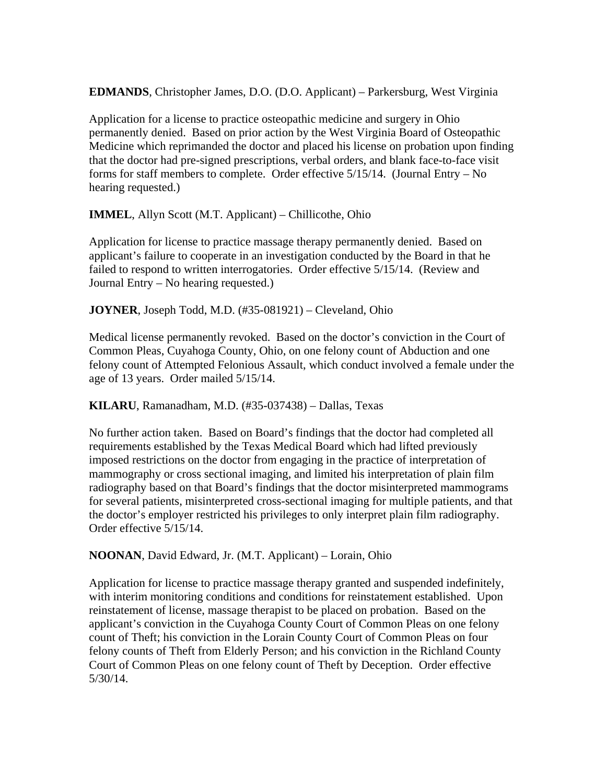**EDMANDS**, Christopher James, D.O. (D.O. Applicant) – Parkersburg, West Virginia

Application for a license to practice osteopathic medicine and surgery in Ohio permanently denied. Based on prior action by the West Virginia Board of Osteopathic Medicine which reprimanded the doctor and placed his license on probation upon finding that the doctor had pre-signed prescriptions, verbal orders, and blank face-to-face visit forms for staff members to complete. Order effective 5/15/14. (Journal Entry – No hearing requested.)

**IMMEL**, Allyn Scott (M.T. Applicant) – Chillicothe, Ohio

Application for license to practice massage therapy permanently denied. Based on applicant's failure to cooperate in an investigation conducted by the Board in that he failed to respond to written interrogatories. Order effective 5/15/14. (Review and Journal Entry – No hearing requested.)

**JOYNER**, Joseph Todd, M.D. (#35-081921) – Cleveland, Ohio

Medical license permanently revoked. Based on the doctor's conviction in the Court of Common Pleas, Cuyahoga County, Ohio, on one felony count of Abduction and one felony count of Attempted Felonious Assault, which conduct involved a female under the age of 13 years. Order mailed 5/15/14.

**KILARU**, Ramanadham, M.D. (#35-037438) – Dallas, Texas

No further action taken. Based on Board's findings that the doctor had completed all requirements established by the Texas Medical Board which had lifted previously imposed restrictions on the doctor from engaging in the practice of interpretation of mammography or cross sectional imaging, and limited his interpretation of plain film radiography based on that Board's findings that the doctor misinterpreted mammograms for several patients, misinterpreted cross-sectional imaging for multiple patients, and that the doctor's employer restricted his privileges to only interpret plain film radiography. Order effective 5/15/14.

**NOONAN**, David Edward, Jr. (M.T. Applicant) – Lorain, Ohio

Application for license to practice massage therapy granted and suspended indefinitely, with interim monitoring conditions and conditions for reinstatement established. Upon reinstatement of license, massage therapist to be placed on probation. Based on the applicant's conviction in the Cuyahoga County Court of Common Pleas on one felony count of Theft; his conviction in the Lorain County Court of Common Pleas on four felony counts of Theft from Elderly Person; and his conviction in the Richland County Court of Common Pleas on one felony count of Theft by Deception. Order effective 5/30/14.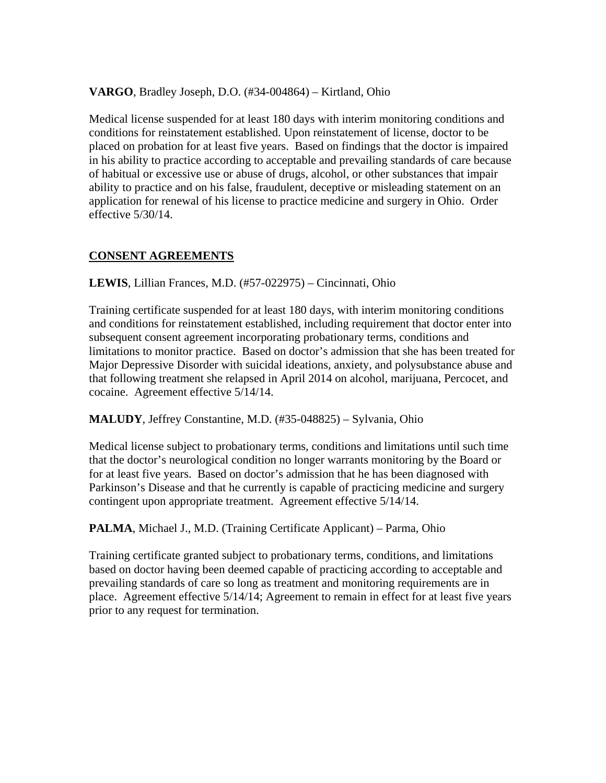#### **VARGO**, Bradley Joseph, D.O. (#34-004864) – Kirtland, Ohio

Medical license suspended for at least 180 days with interim monitoring conditions and conditions for reinstatement established. Upon reinstatement of license, doctor to be placed on probation for at least five years. Based on findings that the doctor is impaired in his ability to practice according to acceptable and prevailing standards of care because of habitual or excessive use or abuse of drugs, alcohol, or other substances that impair ability to practice and on his false, fraudulent, deceptive or misleading statement on an application for renewal of his license to practice medicine and surgery in Ohio. Order effective 5/30/14.

## **CONSENT AGREEMENTS**

**LEWIS**, Lillian Frances, M.D. (#57-022975) – Cincinnati, Ohio

Training certificate suspended for at least 180 days, with interim monitoring conditions and conditions for reinstatement established, including requirement that doctor enter into subsequent consent agreement incorporating probationary terms, conditions and limitations to monitor practice. Based on doctor's admission that she has been treated for Major Depressive Disorder with suicidal ideations, anxiety, and polysubstance abuse and that following treatment she relapsed in April 2014 on alcohol, marijuana, Percocet, and cocaine. Agreement effective 5/14/14.

### **MALUDY**, Jeffrey Constantine, M.D. (#35-048825) – Sylvania, Ohio

Medical license subject to probationary terms, conditions and limitations until such time that the doctor's neurological condition no longer warrants monitoring by the Board or for at least five years. Based on doctor's admission that he has been diagnosed with Parkinson's Disease and that he currently is capable of practicing medicine and surgery contingent upon appropriate treatment. Agreement effective 5/14/14.

**PALMA**, Michael J., M.D. (Training Certificate Applicant) – Parma, Ohio

Training certificate granted subject to probationary terms, conditions, and limitations based on doctor having been deemed capable of practicing according to acceptable and prevailing standards of care so long as treatment and monitoring requirements are in place. Agreement effective 5/14/14; Agreement to remain in effect for at least five years prior to any request for termination.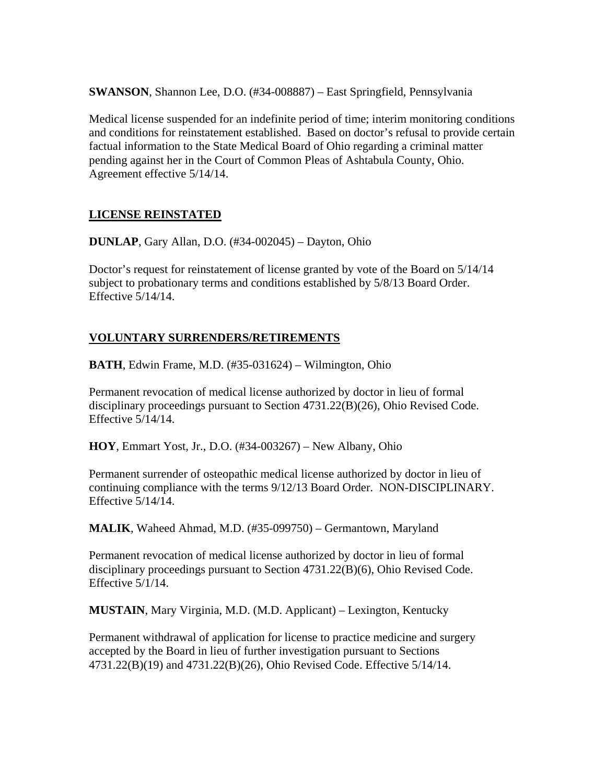**SWANSON**, Shannon Lee, D.O. (#34-008887) – East Springfield, Pennsylvania

Medical license suspended for an indefinite period of time; interim monitoring conditions and conditions for reinstatement established. Based on doctor's refusal to provide certain factual information to the State Medical Board of Ohio regarding a criminal matter pending against her in the Court of Common Pleas of Ashtabula County, Ohio. Agreement effective 5/14/14.

## **LICENSE REINSTATED**

**DUNLAP**, Gary Allan, D.O. (#34-002045) – Dayton, Ohio

Doctor's request for reinstatement of license granted by vote of the Board on 5/14/14 subject to probationary terms and conditions established by 5/8/13 Board Order. Effective 5/14/14.

## **VOLUNTARY SURRENDERS/RETIREMENTS**

**BATH**, Edwin Frame, M.D. (#35-031624) – Wilmington, Ohio

Permanent revocation of medical license authorized by doctor in lieu of formal disciplinary proceedings pursuant to Section 4731.22(B)(26), Ohio Revised Code. Effective 5/14/14.

**HOY**, Emmart Yost, Jr., D.O. (#34-003267) – New Albany, Ohio

Permanent surrender of osteopathic medical license authorized by doctor in lieu of continuing compliance with the terms 9/12/13 Board Order. NON-DISCIPLINARY. Effective 5/14/14.

**MALIK**, Waheed Ahmad, M.D. (#35-099750) – Germantown, Maryland

Permanent revocation of medical license authorized by doctor in lieu of formal disciplinary proceedings pursuant to Section 4731.22(B)(6), Ohio Revised Code. Effective 5/1/14.

**MUSTAIN**, Mary Virginia, M.D. (M.D. Applicant) – Lexington, Kentucky

Permanent withdrawal of application for license to practice medicine and surgery accepted by the Board in lieu of further investigation pursuant to Sections 4731.22(B)(19) and 4731.22(B)(26), Ohio Revised Code. Effective 5/14/14.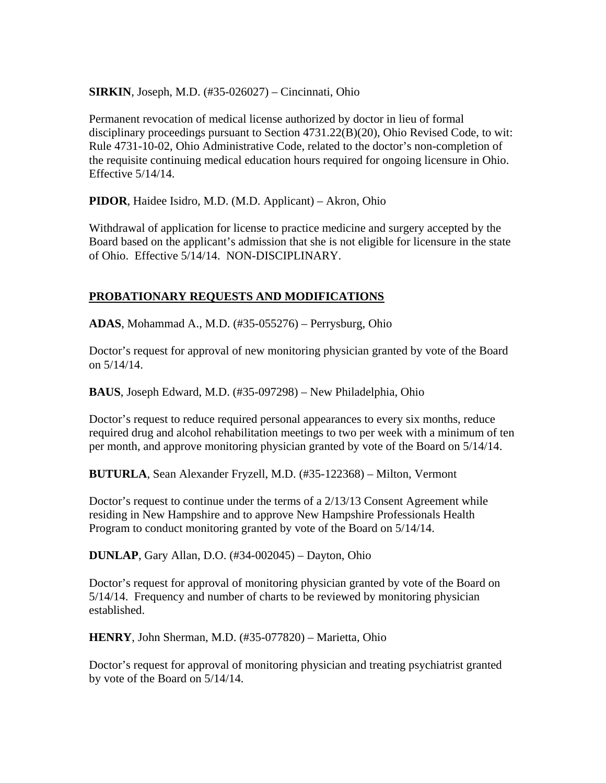**SIRKIN**, Joseph, M.D. (#35-026027) – Cincinnati, Ohio

Permanent revocation of medical license authorized by doctor in lieu of formal disciplinary proceedings pursuant to Section 4731.22(B)(20), Ohio Revised Code, to wit: Rule 4731-10-02, Ohio Administrative Code, related to the doctor's non-completion of the requisite continuing medical education hours required for ongoing licensure in Ohio. Effective 5/14/14.

**PIDOR**, Haidee Isidro, M.D. (M.D. Applicant) – Akron, Ohio

Withdrawal of application for license to practice medicine and surgery accepted by the Board based on the applicant's admission that she is not eligible for licensure in the state of Ohio. Effective 5/14/14. NON-DISCIPLINARY.

## **PROBATIONARY REQUESTS AND MODIFICATIONS**

**ADAS**, Mohammad A., M.D. (#35-055276) – Perrysburg, Ohio

Doctor's request for approval of new monitoring physician granted by vote of the Board on 5/14/14.

**BAUS**, Joseph Edward, M.D. (#35-097298) – New Philadelphia, Ohio

Doctor's request to reduce required personal appearances to every six months, reduce required drug and alcohol rehabilitation meetings to two per week with a minimum of ten per month, and approve monitoring physician granted by vote of the Board on 5/14/14.

**BUTURLA**, Sean Alexander Fryzell, M.D. (#35-122368) – Milton, Vermont

Doctor's request to continue under the terms of a 2/13/13 Consent Agreement while residing in New Hampshire and to approve New Hampshire Professionals Health Program to conduct monitoring granted by vote of the Board on 5/14/14.

**DUNLAP**, Gary Allan, D.O. (#34-002045) – Dayton, Ohio

Doctor's request for approval of monitoring physician granted by vote of the Board on 5/14/14. Frequency and number of charts to be reviewed by monitoring physician established.

**HENRY**, John Sherman, M.D. (#35-077820) – Marietta, Ohio

Doctor's request for approval of monitoring physician and treating psychiatrist granted by vote of the Board on 5/14/14.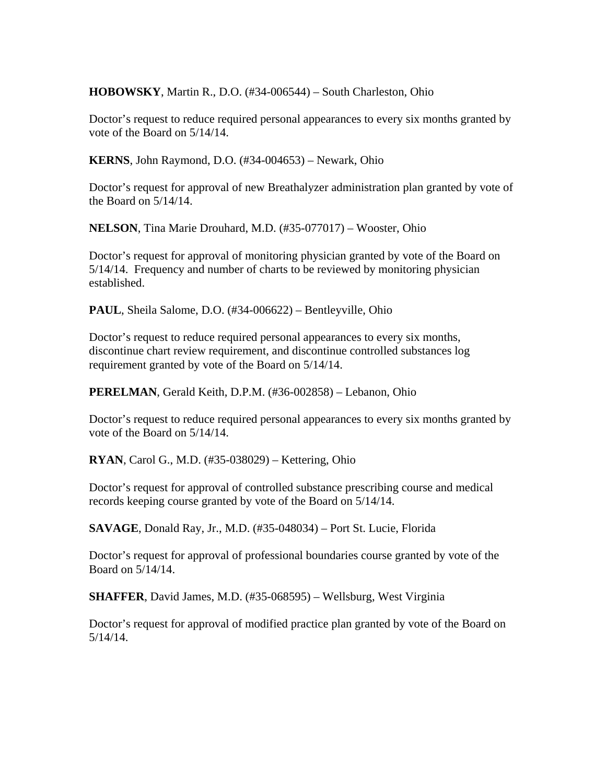**HOBOWSKY**, Martin R., D.O. (#34-006544) – South Charleston, Ohio

Doctor's request to reduce required personal appearances to every six months granted by vote of the Board on 5/14/14.

**KERNS**, John Raymond, D.O. (#34-004653) – Newark, Ohio

Doctor's request for approval of new Breathalyzer administration plan granted by vote of the Board on 5/14/14.

**NELSON**, Tina Marie Drouhard, M.D. (#35-077017) – Wooster, Ohio

Doctor's request for approval of monitoring physician granted by vote of the Board on 5/14/14. Frequency and number of charts to be reviewed by monitoring physician established.

**PAUL**, Sheila Salome, D.O. (#34-006622) – Bentleyville, Ohio

Doctor's request to reduce required personal appearances to every six months, discontinue chart review requirement, and discontinue controlled substances log requirement granted by vote of the Board on 5/14/14.

**PERELMAN**, Gerald Keith, D.P.M. (#36-002858) – Lebanon, Ohio

Doctor's request to reduce required personal appearances to every six months granted by vote of the Board on 5/14/14.

**RYAN**, Carol G., M.D. (#35-038029) – Kettering, Ohio

Doctor's request for approval of controlled substance prescribing course and medical records keeping course granted by vote of the Board on 5/14/14.

**SAVAGE**, Donald Ray, Jr., M.D. (#35-048034) – Port St. Lucie, Florida

Doctor's request for approval of professional boundaries course granted by vote of the Board on 5/14/14.

**SHAFFER**, David James, M.D. (#35-068595) – Wellsburg, West Virginia

Doctor's request for approval of modified practice plan granted by vote of the Board on 5/14/14.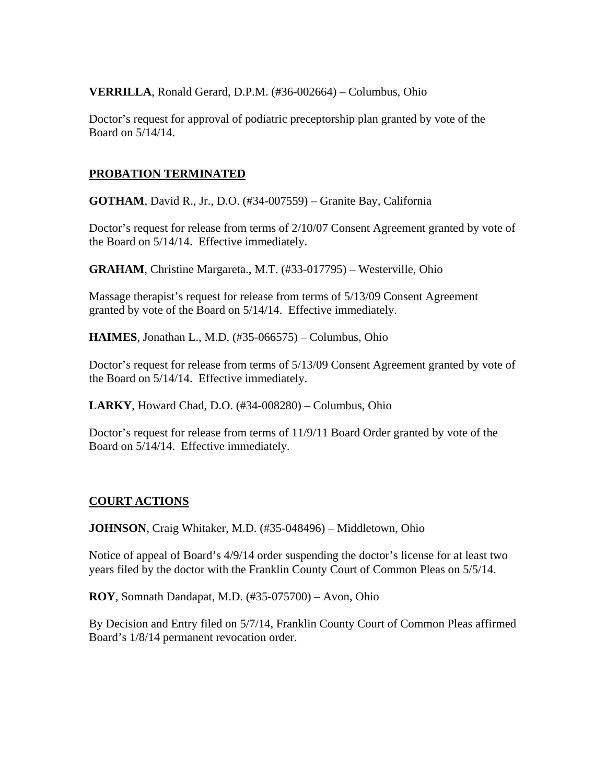**VERRILLA**, Ronald Gerard, D.P.M. (#36-002664) – Columbus, Ohio

Doctor's request for approval of podiatric preceptorship plan granted by vote of the Board on 5/14/14.

## **PROBATION TERMINATED**

**GOTHAM**, David R., Jr., D.O. (#34-007559) – Granite Bay, California

Doctor's request for release from terms of 2/10/07 Consent Agreement granted by vote of the Board on 5/14/14. Effective immediately.

**GRAHAM**, Christine Margareta., M.T. (#33-017795) – Westerville, Ohio

Massage therapist's request for release from terms of 5/13/09 Consent Agreement granted by vote of the Board on 5/14/14. Effective immediately.

**HAIMES**, Jonathan L., M.D. (#35-066575) – Columbus, Ohio

Doctor's request for release from terms of 5/13/09 Consent Agreement granted by vote of the Board on 5/14/14. Effective immediately.

**LARKY**, Howard Chad, D.O. (#34-008280) – Columbus, Ohio

Doctor's request for release from terms of 11/9/11 Board Order granted by vote of the Board on 5/14/14. Effective immediately.

### **COURT ACTIONS**

**JOHNSON**, Craig Whitaker, M.D. (#35-048496) – Middletown, Ohio

Notice of appeal of Board's 4/9/14 order suspending the doctor's license for at least two years filed by the doctor with the Franklin County Court of Common Pleas on 5/5/14.

**ROY**, Somnath Dandapat, M.D. (#35-075700) – Avon, Ohio

By Decision and Entry filed on 5/7/14, Franklin County Court of Common Pleas affirmed Board's 1/8/14 permanent revocation order.